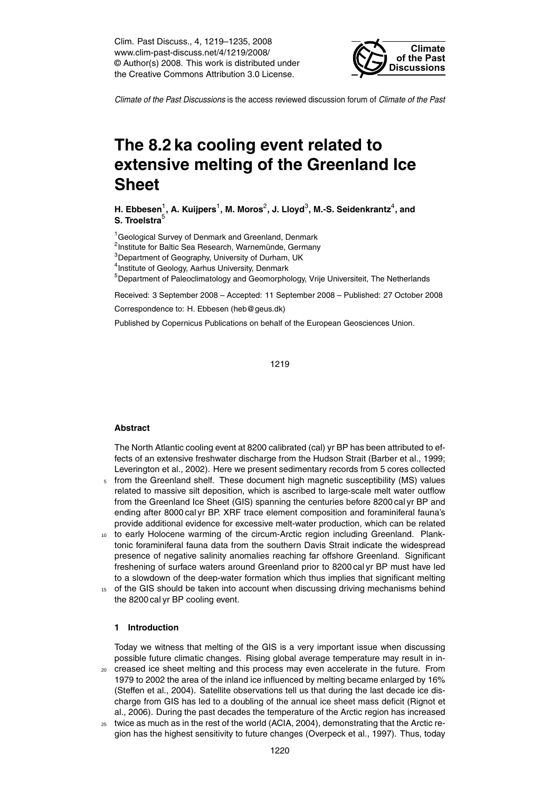Clim. Past Discuss., 4, 1219–1235, 2008 www.clim-past-discuss.net/4/1219/2008/ © Author(s) 2008. This work is distributed under the Creative Commons Attribution 3.0 License.



*Climate of the Past Discussions* is the access reviewed discussion forum of *Climate of the Past*

# **The 8.2 ka cooling event related to extensive melting of the Greenland Ice Sheet**

**H. Ebbesen** $^1$ **, A. Kuijpers** $^1$ **, M. Moros** $^2$ **, J. Lloyd** $^3$ **, M.-S. Seidenkrantz** $^4$ **, and S. Troelstra**<sup>5</sup>

<sup>1</sup> Geological Survey of Denmark and Greenland, Denmark

<sup>2</sup>Institute for Baltic Sea Research, Warnemünde, Germany

 $3$ Department of Geography, University of Durham, UK

<sup>4</sup> Institute of Geology, Aarhus University, Denmark

<sup>5</sup>Department of Paleoclimatology and Geomorphology, Vrije Universiteit, The Netherlands

Received: 3 September 2008 – Accepted: 11 September 2008 – Published: 27 October 2008

Correspondence to: H. Ebbesen (heb@geus.dk)

Published by Copernicus Publications on behalf of the European Geosciences Union.

1219

#### **Abstract**

The North Atlantic cooling event at 8200 calibrated (cal) yr BP has been attributed to effects of an extensive freshwater discharge from the Hudson Strait (Barber et al., 1999; Leverington et al., 2002). Here we present sedimentary records from 5 cores collected

- <sup>5</sup> from the Greenland shelf. These document high magnetic susceptibility (MS) values related to massive silt deposition, which is ascribed to large-scale melt water outflow from the Greenland Ice Sheet (GIS) spanning the centuries before 8200 cal yr BP and ending after 8000 cal yr BP. XRF trace element composition and foraminiferal fauna's provide additional evidence for excessive melt-water production, which can be related
- <sup>10</sup> to early Holocene warming of the circum-Arctic region including Greenland. Planktonic foraminiferal fauna data from the southern Davis Strait indicate the widespread presence of negative salinity anomalies reaching far offshore Greenland. Significant freshening of surface waters around Greenland prior to 8200 cal yr BP must have led to a slowdown of the deep-water formation which thus implies that significant melting
- <sup>15</sup> of the GIS should be taken into account when discussing driving mechanisms behind the 8200 cal yr BP cooling event.

## **1 Introduction**

Today we witness that melting of the GIS is a very important issue when discussing possible future climatic changes. Rising global average temperature may result in in-

- <sup>20</sup> creased ice sheet melting and this process may even accelerate in the future. From 1979 to 2002 the area of the inland ice influenced by melting became enlarged by 16% (Steffen et al., 2004). Satellite observations tell us that during the last decade ice discharge from GIS has led to a doubling of the annual ice sheet mass deficit (Rignot et al., 2006). During the past decades the temperature of the Arctic region has increased
- <sup>25</sup> twice as much as in the rest of the world (ACIA, 2004), demonstrating that the Arctic region has the highest sensitivity to future changes (Overpeck et al., 1997). Thus, today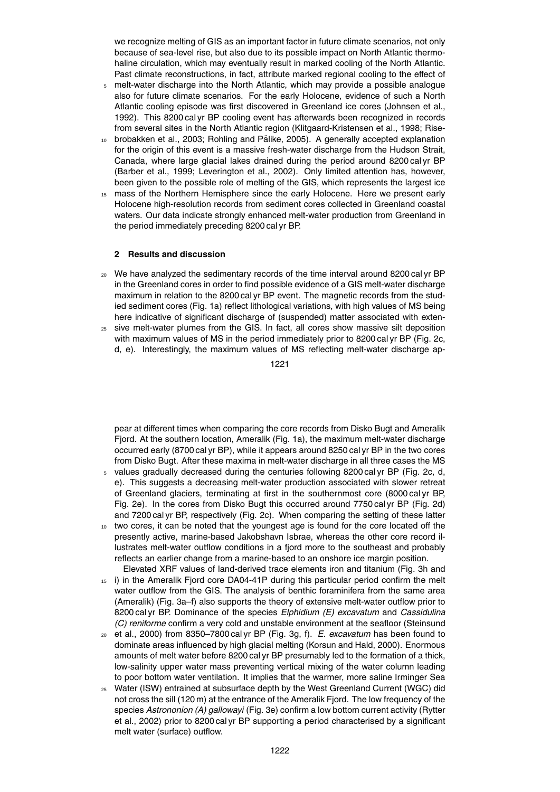we recognize melting of GIS as an important factor in future climate scenarios, not only because of sea-level rise, but also due to its possible impact on North Atlantic thermohaline circulation, which may eventually result in marked cooling of the North Atlantic. Past climate reconstructions, in fact, attribute marked regional cooling to the effect of

- <sup>5</sup> melt-water discharge into the North Atlantic, which may provide a possible analogue also for future climate scenarios. For the early Holocene, evidence of such a North Atlantic cooling episode was first discovered in Greenland ice cores (Johnsen et al., 1992). This 8200 cal yr BP cooling event has afterwards been recognized in records from several sites in the North Atlantic region (Klitgaard-Kristensen et al., 1998; Rise-
- brobakken et al., 2003; Rohling and Pälike, 2005). A generally accepted explanation for the origin of this event is a massive fresh-water discharge from the Hudson Strait, Canada, where large glacial lakes drained during the period around 8200 cal yr BP (Barber et al., 1999; Leverington et al., 2002). Only limited attention has, however, been given to the possible role of melting of the GIS, which represents the largest ice
- <sup>15</sup> mass of the Northern Hemisphere since the early Holocene. Here we present early Holocene high-resolution records from sediment cores collected in Greenland coastal waters. Our data indicate strongly enhanced melt-water production from Greenland in the period immediately preceding 8200 cal yr BP.

## **2 Results and discussion**

- <sup>20</sup> We have analyzed the sedimentary records of the time interval around 8200 cal yr BP in the Greenland cores in order to find possible evidence of a GIS melt-water discharge maximum in relation to the 8200 cal yr BP event. The magnetic records from the studied sediment cores (Fig. 1a) reflect lithological variations, with high values of MS being here indicative of significant discharge of (suspended) matter associated with exten-
- $25$  sive melt-water plumes from the GIS. In fact, all cores show massive silt deposition with maximum values of MS in the period immediately prior to 8200 cal yr BP (Fig. 2c, d, e). Interestingly, the maximum values of MS reflecting melt-water discharge ap-

1221

pear at different times when comparing the core records from Disko Bugt and Ameralik Fjord. At the southern location, Ameralik (Fig. 1a), the maximum melt-water discharge occurred early (8700 cal yr BP), while it appears around 8250 cal yr BP in the two cores from Disko Bugt. After these maxima in melt-water discharge in all three cases the MS

- values gradually decreased during the centuries following 8200 cal yr BP (Fig. 2c, d, e). This suggests a decreasing melt-water production associated with slower retreat of Greenland glaciers, terminating at first in the southernmost core (8000 cal yr BP, Fig. 2e). In the cores from Disko Bugt this occurred around 7750 cal yr BP (Fig. 2d) and 7200 cal yr BP, respectively (Fig. 2c). When comparing the setting of these latter
- <sup>10</sup> two cores, it can be noted that the youngest age is found for the core located off the presently active, marine-based Jakobshavn Isbrae, whereas the other core record illustrates melt-water outflow conditions in a fjord more to the southeast and probably reflects an earlier change from a marine-based to an onshore ice margin position. Elevated XRF values of land-derived trace elements iron and titanium (Fig. 3h and
- <sup>15</sup> i) in the Ameralik Fjord core DA04-41P during this particular period confirm the melt water outflow from the GIS. The analysis of benthic foraminifera from the same area (Ameralik) (Fig. 3a–f) also supports the theory of extensive melt-water outflow prior to 8200 cal yr BP. Dominance of the species *Elphidium (E) excavatum* and *Cassidulina (C) reniforme* confirm a very cold and unstable environment at the seafloor (Steinsund
- <sup>20</sup> et al., 2000) from 8350–7800 cal yr BP (Fig. 3g, f). *E. excavatum* has been found to dominate areas influenced by high glacial melting (Korsun and Hald, 2000). Enormous amounts of melt water before 8200 cal yr BP presumably led to the formation of a thick, low-salinity upper water mass preventing vertical mixing of the water column leading to poor bottom water ventilation. It implies that the warmer, more saline Irminger Sea
- <sup>25</sup> Water (ISW) entrained at subsurface depth by the West Greenland Current (WGC) did not cross the sill (120 m) at the entrance of the Ameralik Fjord. The low frequency of the species *Astrononion (A) gallowayi* (Fig. 3e) confirm a low bottom current activity (Rytter et al., 2002) prior to 8200 cal yr BP supporting a period characterised by a significant melt water (surface) outflow.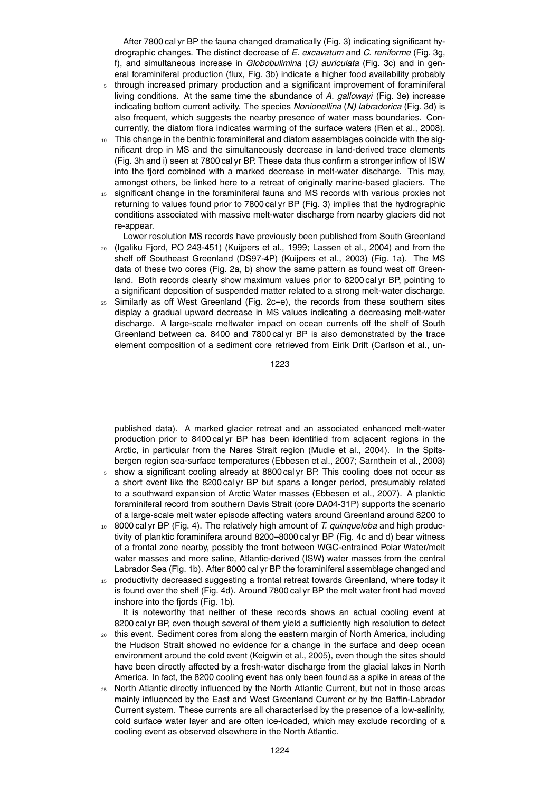After 7800 cal yr BP the fauna changed dramatically (Fig. 3) indicating significant hydrographic changes. The distinct decrease of *E. excavatum* and *C. reniforme* (Fig. 3g, f), and simultaneous increase in *Globobulimina* (*G) auriculata* (Fig. 3c) and in general foraminiferal production (flux, Fig. 3b) indicate a higher food availability probably

- <sup>5</sup> through increased primary production and a significant improvement of foraminiferal living conditions. At the same time the abundance of *A. gallowayi* (Fig. 3e) increase indicating bottom current activity. The species *Nonionellina* (*N) labradorica* (Fig. 3d) is also frequent, which suggests the nearby presence of water mass boundaries. Concurrently, the diatom flora indicates warming of the surface waters (Ren et al., 2008).
- This change in the benthic foraminiferal and diatom assemblages coincide with the significant drop in MS and the simultaneously decrease in land-derived trace elements (Fig. 3h and i) seen at 7800 cal yr BP. These data thus confirm a stronger inflow of ISW into the fjord combined with a marked decrease in melt-water discharge. This may, amongst others, be linked here to a retreat of originally marine-based glaciers. The
- <sup>15</sup> significant change in the foraminiferal fauna and MS records with various proxies not returning to values found prior to 7800 cal yr BP (Fig. 3) implies that the hydrographic conditions associated with massive melt-water discharge from nearby glaciers did not re-appear.

Lower resolution MS records have previously been published from South Greenland <sup>20</sup> (Igaliku Fjord, PO 243-451) (Kuijpers et al., 1999; Lassen et al., 2004) and from the shelf off Southeast Greenland (DS97-4P) (Kuijpers et al., 2003) (Fig. 1a). The MS data of these two cores (Fig. 2a, b) show the same pattern as found west off Greenland. Both records clearly show maximum values prior to 8200 cal yr BP, pointing to a significant deposition of suspended matter related to a strong melt-water discharge.

 $25$  Similarly as off West Greenland (Fig. 2c–e), the records from these southern sites display a gradual upward decrease in MS values indicating a decreasing melt-water discharge. A large-scale meltwater impact on ocean currents off the shelf of South Greenland between ca. 8400 and 7800 cal yr BP is also demonstrated by the trace element composition of a sediment core retrieved from Eirik Drift (Carlson et al., un-

1223

published data). A marked glacier retreat and an associated enhanced melt-water production prior to 8400 cal yr BP has been identified from adjacent regions in the Arctic, in particular from the Nares Strait region (Mudie et al., 2004). In the Spitsbergen region sea-surface temperatures (Ebbesen et al., 2007; Sarnthein et al., 2003)

- <sup>5</sup> show a significant cooling already at 8800 cal yr BP. This cooling does not occur as a short event like the 8200 cal yr BP but spans a longer period, presumably related to a southward expansion of Arctic Water masses (Ebbesen et al., 2007). A planktic foraminiferal record from southern Davis Strait (core DA04-31P) supports the scenario of a large-scale melt water episode affecting waters around Greenland around 8200 to
- <sup>10</sup> 8000 cal yr BP (Fig. 4). The relatively high amount of *T. quinqueloba* and high productivity of planktic foraminifera around 8200–8000 cal yr BP (Fig. 4c and d) bear witness of a frontal zone nearby, possibly the front between WGC-entrained Polar Water/melt water masses and more saline, Atlantic-derived (ISW) water masses from the central Labrador Sea (Fig. 1b). After 8000 cal yr BP the foraminiferal assemblage changed and
- 15 productivity decreased suggesting a frontal retreat towards Greenland, where today it is found over the shelf (Fig. 4d). Around 7800 cal yr BP the melt water front had moved inshore into the fjords (Fig. 1b).

It is noteworthy that neither of these records shows an actual cooling event at 8200 cal yr BP, even though several of them yield a sufficiently high resolution to detect

- <sup>20</sup> this event. Sediment cores from along the eastern margin of North America, including the Hudson Strait showed no evidence for a change in the surface and deep ocean environment around the cold event (Keigwin et al., 2005), even though the sites should have been directly affected by a fresh-water discharge from the glacial lakes in North America. In fact, the 8200 cooling event has only been found as a spike in areas of the
- <sup>25</sup> North Atlantic directly influenced by the North Atlantic Current, but not in those areas mainly influenced by the East and West Greenland Current or by the Baffin-Labrador Current system. These currents are all characterised by the presence of a low-salinity, cold surface water layer and are often ice-loaded, which may exclude recording of a cooling event as observed elsewhere in the North Atlantic.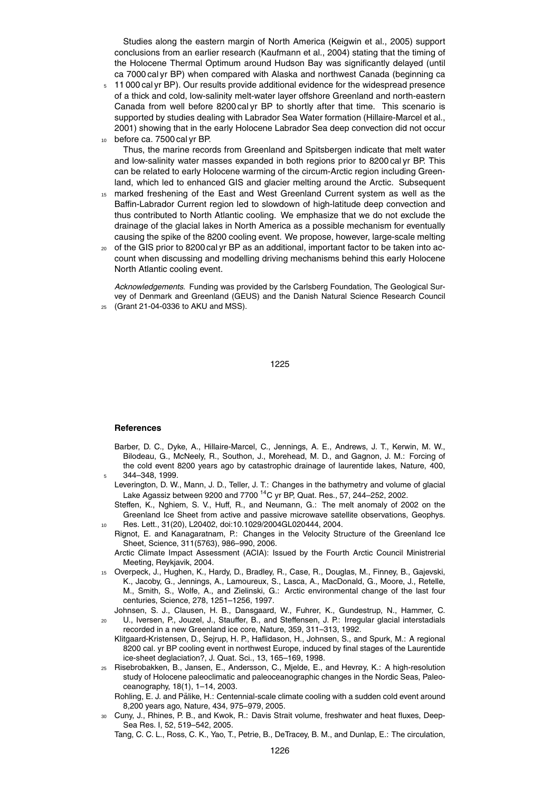Studies along the eastern margin of North America (Keigwin et al., 2005) support conclusions from an earlier research (Kaufmann et al., 2004) stating that the timing of the Holocene Thermal Optimum around Hudson Bay was significantly delayed (until ca 7000 cal yr BP) when compared with Alaska and northwest Canada (beginning ca

- <sup>5</sup> 11 000 cal yr BP). Our results provide additional evidence for the widespread presence of a thick and cold, low-salinity melt-water layer offshore Greenland and north-eastern Canada from well before 8200 cal yr BP to shortly after that time. This scenario is supported by studies dealing with Labrador Sea Water formation (Hillaire-Marcel et al., 2001) showing that in the early Holocene Labrador Sea deep convection did not occur before ca. 7500 cal yr BP.
	- Thus, the marine records from Greenland and Spitsbergen indicate that melt water and low-salinity water masses expanded in both regions prior to 8200 cal yr BP. This can be related to early Holocene warming of the circum-Arctic region including Greenland, which led to enhanced GIS and glacier melting around the Arctic. Subsequent
- <sup>15</sup> marked freshening of the East and West Greenland Current system as well as the Baffin-Labrador Current region led to slowdown of high-latitude deep convection and thus contributed to North Atlantic cooling. We emphasize that we do not exclude the drainage of the glacial lakes in North America as a possible mechanism for eventually causing the spike of the 8200 cooling event. We propose, however, large-scale melting
- <sup>20</sup> of the GIS prior to 8200 cal yr BP as an additional, important factor to be taken into account when discussing and modelling driving mechanisms behind this early Holocene North Atlantic cooling event.

*Acknowledgements.* Funding was provided by the Carlsberg Foundation, The Geological Survey of Denmark and Greenland (GEUS) and the Danish Natural Science Research Council <sup>25</sup> (Grant 21-04-0336 to AKU and MSS).

1225

#### **References**

- Barber, D. C., Dyke, A., Hillaire-Marcel, C., Jennings, A. E., Andrews, J. T., Kerwin, M. W., Bilodeau, G., McNeely, R., Southon, J., Morehead, M. D., and Gagnon, J. M.: Forcing of the cold event 8200 years ago by catastrophic drainage of laurentide lakes, Nature, 400, <sup>5</sup> 344–348, 1999.
- Leverington, D. W., Mann, J. D., Teller, J. T.: Changes in the bathymetry and volume of glacial Lake Agassiz between 9200 and 7700 <sup>14</sup>C yr BP, Quat. Res., 57, 244–252, 2002.
- Steffen, K., Nghiem, S. V., Huff, R., and Neumann, G.: The melt anomaly of 2002 on the Greenland Ice Sheet from active and passive microwave satellite observations, Geophys. <sup>10</sup> Res. Lett., 31(20), L20402, doi:10.1029/2004GL020444, 2004.
- Rignot, E. and Kanagaratnam, P.: Changes in the Velocity Structure of the Greenland Ice Sheet, Science, 311(5763), 986–990, 2006.
- Arctic Climate Impact Assessment (ACIA): Issued by the Fourth Arctic Council Ministrerial Meeting, Reykjavik, 2004.
- <sup>15</sup> Overpeck, J., Hughen, K., Hardy, D., Bradley, R., Case, R., Douglas, M., Finney, B., Gajevski, K., Jacoby, G., Jennings, A., Lamoureux, S., Lasca, A., MacDonald, G., Moore, J., Retelle, M., Smith, S., Wolfe, A., and Zielinski, G.: Arctic environmental change of the last four centuries, Science, 278, 1251–1256, 1997.
- Johnsen, S. J., Clausen, H. B., Dansgaard, W., Fuhrer, K., Gundestrup, N., Hammer, C. <sup>20</sup> U., Iversen, P., Jouzel, J., Stauffer, B., and Steffensen, J. P.: Irregular glacial interstadials recorded in a new Greenland ice core, Nature, 359, 311–313, 1992.
	- Klitgaard-Kristensen, D., Sejrup, H. P., Haflidason, H., Johnsen, S., and Spurk, M.: A regional 8200 cal. yr BP cooling event in northwest Europe, induced by final stages of the Laurentide ice-sheet deglaciation?, J. Quat. Sci., 13, 165–169, 1998.
- <sup>25</sup> Risebrobakken, B., Jansen, E., Andersson, C., Mjelde, E., and Hevrøy, K.: A high-resolution study of Holocene paleoclimatic and paleoceanographic changes in the Nordic Seas, Paleoceanography, 18(1), 1–14, 2003.
	- Rohling, E. J. and Pälike, H.: Centennial-scale climate cooling with a sudden cold event around 8,200 years ago, Nature, 434, 975–979, 2005.
- <sup>30</sup> Cuny, J., Rhines, P. B., and Kwok, R.: Davis Strait volume, freshwater and heat fluxes, Deep-Sea Res. I, 52, 519–542, 2005.

Tang, C. C. L., Ross, C. K., Yao, T., Petrie, B., DeTracey, B. M., and Dunlap, E.: The circulation,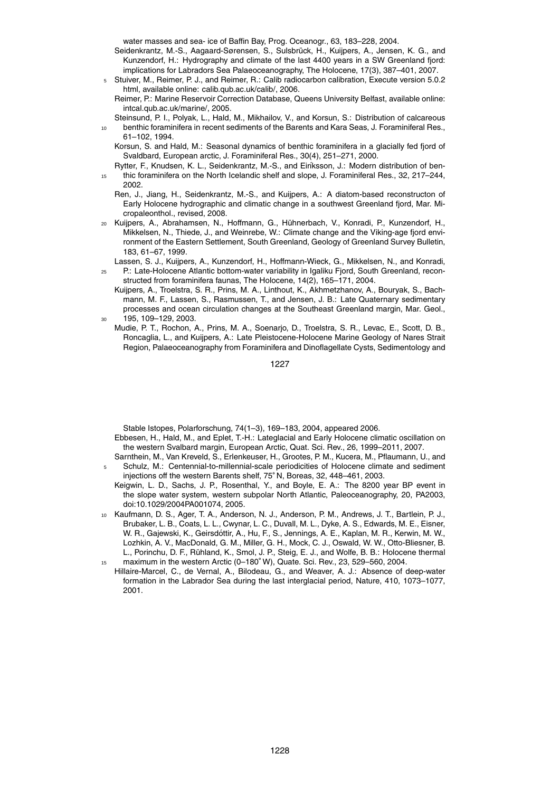water masses and sea- ice of Baffin Bay, Prog. Oceanogr., 63, 183–228, 2004.

- Seidenkrantz, M.-S., Aagaard-Sørensen, S., Sulsbrück, H., Kuijpers, A., Jensen, K. G., and Kunzendorf, H.: Hydrography and climate of the last 4400 years in a SW Greenland fjord: implications for Labradors Sea Palaeoceanography, The Holocene, 17(3), 387–401, 2007.
- <sup>5</sup> Stuiver, M., Reimer, P. J., and Reimer, R.: Calib radiocarbon calibration, Execute version 5.0.2 html, available online: calib.qub.ac.uk/calib/, 2006.
	- Reimer, P.: Marine Reservoir Correction Database, Queens University Belfast, available online: intcal.qub.ac.uk/marine/, 2005.
- Steinsund, P. I., Polyak, L., Hald, M., Mikhailov, V., and Korsun, S.: Distribution of calcareous <sup>10</sup> benthic foraminifera in recent sediments of the Barents and Kara Seas, J. Foraminiferal Res.,
	- 61–102, 1994.

Korsun, S. and Hald, M.: Seasonal dynamics of benthic foraminifera in a glacially fed fjord of Svaldbard, European arctic, J. Foraminiferal Res., 30(4), 251–271, 2000.

- Rytter, F., Knudsen, K. L., Seidenkrantz, M.-S., and Eiríksson, J.: Modern distribution of ben-<sup>15</sup> thic foraminifera on the North Icelandic shelf and slope, J. Foraminiferal Res., 32, 217–244, 2002.
	- Ren, J., Jiang, H., Seidenkrantz, M.-S., and Kuijpers, A.: A diatom-based reconstructon of Early Holocene hydrographic and climatic change in a southwest Greenland fjord, Mar. Micropaleonthol., revised, 2008.
- <sup>20</sup> Kuijpers, A., Abrahamsen, N., Hoffmann, G., Huhnerbach, V., Konradi, P., Kunzendorf, H., ¨ Mikkelsen, N., Thiede, J., and Weinrebe, W.: Climate change and the Viking-age fjord environment of the Eastern Settlement, South Greenland, Geology of Greenland Survey Bulletin, 183, 61–67, 1999.
- Lassen, S. J., Kuijpers, A., Kunzendorf, H., Hoffmann-Wieck, G., Mikkelsen, N., and Konradi,
- <sup>25</sup> P.: Late-Holocene Atlantic bottom-water variability in Igaliku Fjord, South Greenland, reconstructed from foraminifera faunas, The Holocene, 14(2), 165–171, 2004.
	- Kuijpers, A., Troelstra, S. R., Prins, M. A., Linthout, K., Akhmetzhanov, A., Bouryak, S., Bachmann, M. F., Lassen, S., Rasmussen, T., and Jensen, J. B.: Late Quaternary sedimentary processes and ocean circulation changes at the Southeast Greenland margin, Mar. Geol., <sup>30</sup> 195, 109–129, 2003.
- Mudie, P. T., Rochon, A., Prins, M. A., Soenarjo, D., Troelstra, S. R., Levac, E., Scott, D. B., Roncaglia, L., and Kuijpers, A.: Late Pleistocene-Holocene Marine Geology of Nares Strait Region, Palaeoceanography from Foraminifera and Dinoflagellate Cysts, Sedimentology and

1227

Stable Istopes, Polarforschung, 74(1–3), 169–183, 2004, appeared 2006.

- Ebbesen, H., Hald, M., and Eplet, T.-H.: Lateglacial and Early Holocene climatic oscillation on the western Svalbard margin, European Arctic, Quat. Sci. Rev., 26, 1999–2011, 2007.
- Sarnthein, M., Van Kreveld, S., Erlenkeuser, H., Grootes, P. M., Kucera, M., Pflaumann, U., and <sup>5</sup> Schulz, M.: Centennial-to-millennial-scale periodicities of Holocene climate and sediment injections off the western Barents shelf, 75◦ N, Boreas, 32, 448–461, 2003.
	- Keigwin, L. D., Sachs, J. P., Rosenthal, Y., and Boyle, E. A.: The 8200 year BP event in the slope water system, western subpolar North Atlantic, Paleoceanography, 20, PA2003, doi:10.1029/2004PA001074, 2005.
- Kaufmann, D. S., Ager, T. A., Anderson, N. J., Anderson, P. M., Andrews, J. T., Bartlein, P. J., Brubaker, L. B., Coats, L. L., Cwynar, L. C., Duvall, M. L., Dyke, A. S., Edwards, M. E., Eisner, W. R., Gajewski, K., Geirsdottir, A., Hu, F., S., Jennings, A. E., Kaplan, M. R., Kerwin, M. W., ´ Lozhkin, A. V., MacDonald, G. M., Miller, G. H., Mock, C. J., Oswald, W. W., Otto-Bliesner, B. L., Porinchu, D. F., Rühland, K., Smol, J. P., Steig, E. J., and Wolfe, B. B.: Holocene thermal 15 maximum in the western Arctic (0-180<sup>°</sup> W), Quate. Sci. Rev., 23, 529-560, 2004.
- Hillaire-Marcel, C., de Vernal, A., Bilodeau, G., and Weaver, A. J.: Absence of deep-water formation in the Labrador Sea during the last interglacial period, Nature, 410, 1073–1077, 2001.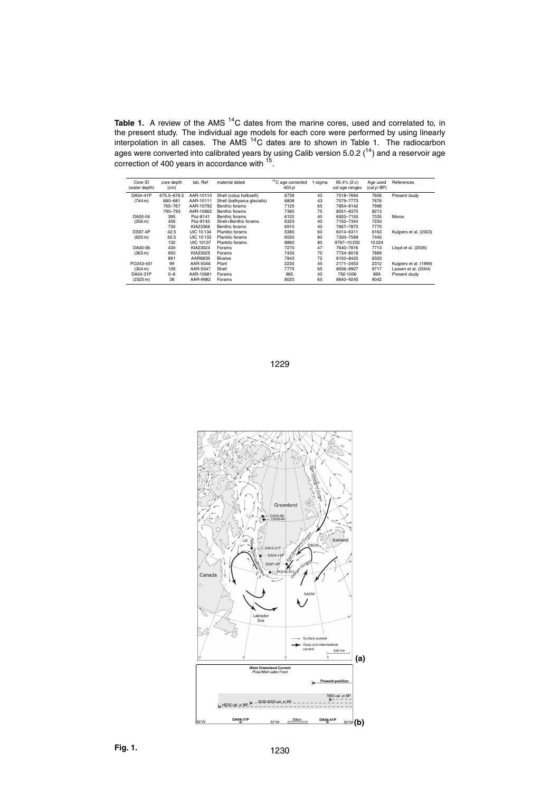Table 1. A review of the AMS <sup>14</sup>C dates from the marine cores, used and correlated to, in the present study. The individual age models for each core were performed by using linearly interpolation in all cases. The AMS  $^{14}$ C dates are to shown in Table 1. The radiocarbon ages were converted into calibrated years by using Calib version 5.0.2 ( $^{14}$ ) and a reservoir age correction of 400 years in accordance with <sup>15</sup>.

| Core ID<br>(water depth) | core depth<br>(cm) | lab. Ref  | material dated              | <sup>14</sup> C age corrected<br>400 yr | 1-sigma | 95.4% ( $2 \sigma$ )<br>cal age ranges | Age used<br>(cal yr BP) | References             |
|--------------------------|--------------------|-----------|-----------------------------|-----------------------------------------|---------|----------------------------------------|-------------------------|------------------------|
| DA04-41P                 | 675.5-676.5        | AAR-10110 | Shell (colus holboelli)     | 6739                                    | 43      | 7518-7694                              | 7606                    | Present study          |
| $(744 \text{ m})$        | 680-681            | AAR-10111 | Shell (bathyarca glacialis) | 6808                                    | 43      | 7579-7773                              | 7676                    |                        |
|                          | 765-767            | AAR-10792 | Benthic forams              | 7125                                    | 65      | 7854-8142                              | 7998                    |                        |
|                          | 790-793            | AAR-10662 | Benthic forams              | 7365                                    | 75      | 8051-8375                              | 8213                    |                        |
| DA00-04                  | 395                | Poz-8141  | Benthic forams              | 6120                                    | 40      | 6920-7150                              | 7035                    | Moros                  |
| (256 m)                  | 456                | Poz-8143  | Shell+Benthic forams        | 6320                                    | 40      | 7155-7344                              | 7250                    |                        |
|                          | 730                | KIA23366  | Benthic forams              | 6910                                    | 40      | 7667-7873                              | 7770                    |                        |
| <b>DS97-4P</b>           | 42.5               | UtC 10134 | Planktic forams             | 5380                                    | 60      | 6014-6311                              | 6163                    | Kuiipers et al. (2003) |
| (620 m)                  | 92.5               | UtC 10133 | Planktic forams             | 6550                                    | 80      | 7300-7589                              | 7445                    |                        |
|                          | 132                | UtC 10137 | Planktic forams             | 8860                                    | 80      | 9797-10250                             | 10024                   |                        |
| DA00-06                  | 430                | KIA23024  | Forams                      | 7270                                    | 47      | 7640-7816                              | 7713                    | Lloyd et al. (2005)    |
| (363 m)                  | 650                | KIA23025  | Forams                      | 7430                                    | 70      | 7734-8018                              | 7889                    |                        |
|                          | 891                | AAR6839   | <b>Bivalve</b>              | 7843                                    | 72      | 8150-8420                              | 8320                    |                        |
| PO243-451                | 99                 | AAR-5046  | Plant                       | 2235                                    | 45      | 2171-2453                              | 2312                    | Kuijpers et al. (1999) |
| $(304 \,\mathrm{m})$     | 126                | AAR-5047  | Shell                       | 7775                                    | 65      | 8506-8927                              | 8717                    | Lassen et al. (2004)   |
| DA04-31P                 | $0 - 6$            | AAR-10681 | Forams                      | 965                                     | 40      | 792-1006                               | 899                     | Present study          |
| (2525 m)                 | 38                 | AAR-9982  | Forams                      | 8020                                    | 65      | 8840-9245                              | 9042                    |                        |

1229

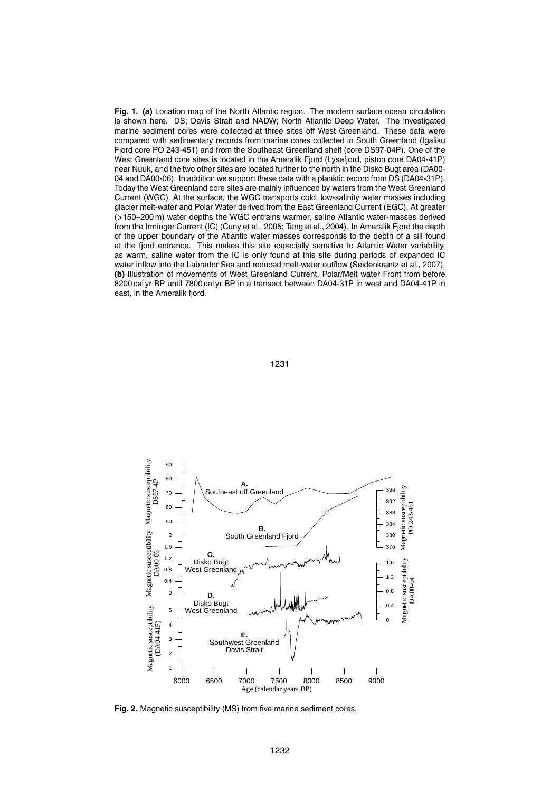**Fig. 1. (a)** Location map of the North Atlantic region. The modern surface ocean circulation is shown here. DS; Davis Strait and NADW; North Atlantic Deep Water. The investigated marine sediment cores were collected at three sites off West Greenland. These data were compared with sedimentary records from marine cores collected in South Greenland (Igaliku Fjord core PO 243-451) and from the Southeast Greenland shelf (core DS97-04P). One of the West Greenland core sites is located in the Ameralik Fjord (Lysefjord, piston core DA04-41P) near Nuuk, and the two other sites are located further to the north in the Disko Bugt area (DA00- 04 and DA00-06). In addition we support these data with a planktic record from DS (DA04-31P). Today the West Greenland core sites are mainly influenced by waters from the West Greenland Current (WGC). At the surface, the WGC transports cold, low-salinity water masses including glacier melt-water and Polar Water derived from the East Greenland Current (EGC). At greater (*>*150–200 m) water depths the WGC entrains warmer, saline Atlantic water-masses derived from the Irminger Current (IC) (Cuny et al., 2005; Tang et al., 2004). In Ameralik Fjord the depth of the upper boundary of the Atlantic water masses corresponds to the depth of a sill found at the fjord entrance. This makes this site especially sensitive to Atlantic Water variability, as warm, saline water from the IC is only found at this site during periods of expanded IC water inflow into the Labrador Sea and reduced melt-water outflow (Seidenkrantz et al., 2007). **(b)** Illustration of movements of West Greenland Current, Polar/Melt water Front from before 8200 cal yr BP until 7800 cal yr BP in a transect between DA04-31P in west and DA04-41P in east, in the Ameralik fjord.



1231

**Fig. 2.** Magnetic susceptibility (MS) from five marine sediment cores.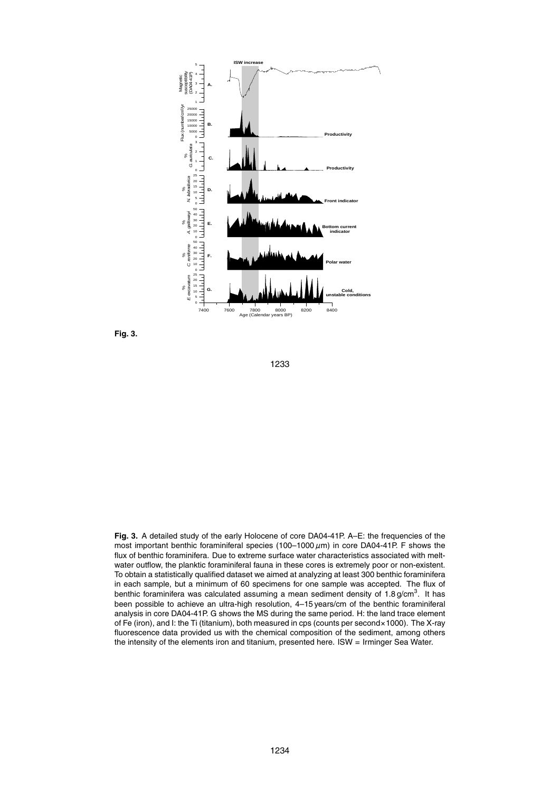

**Fig. 3.**

1233

**Fig. 3.** A detailed study of the early Holocene of core DA04-41P. A–E: the frequencies of the most important benthic foraminiferal species (100–1000 *µ*m) in core DA04-41P. F shows the flux of benthic foraminifera. Due to extreme surface water characteristics associated with meltwater outflow, the planktic foraminiferal fauna in these cores is extremely poor or non-existent. To obtain a statistically qualified dataset we aimed at analyzing at least 300 benthic foraminifera in each sample, but a minimum of 60 specimens for one sample was accepted. The flux of benthic foraminifera was calculated assuming a mean sediment density of 1.8 g/cm $^3$ . It has been possible to achieve an ultra-high resolution, 4–15 years/cm of the benthic foraminiferal analysis in core DA04-41P. G shows the MS during the same period. H: the land trace element of Fe (iron), and I: the Ti (titanium), both measured in cps (counts per second×1000). The X-ray fluorescence data provided us with the chemical composition of the sediment, among others the intensity of the elements iron and titanium, presented here. ISW = Irminger Sea Water.